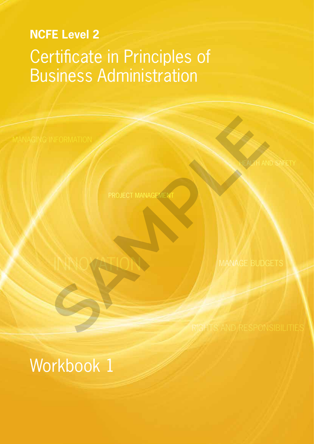# **NCFE Level 2** Certificate in Principles of Business Administration

PROJECT MANAGEMENT

INFORMATION<br>
PROJECT MANAGEMENT<br>
NAN OCHELLAND MANAGE BUDG<br>
RIGHTS AND RESPON

Workbook 1

INNOVATION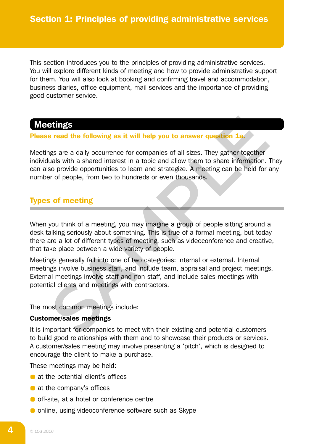This section introduces you to the principles of providing administrative services. You will explore different kinds of meeting and how to provide administrative support for them. You will also look at booking and confirming travel and accommodation, business diaries, office equipment, mail services and the importance of providing good customer service.

# Meetings

#### Please read the following as it will help you to answer question 1a.

Meetings are a daily occurrence for companies of all sizes. They gather together individuals with a shared interest in a topic and allow them to share information. They can also provide opportunities to learn and strategize. A meeting can be held for any number of people, from two to hundreds or even thousands.

## Types of meeting

When you think of a meeting, you may imagine a group of people sitting around a desk talking seriously about something. This is true of a formal meeting, but today there are a lot of different types of meeting, such as videoconference and creative, that take place between a wide variety of people. **Shingset the following as it will help you to answer question 1a.**<br>The read the following as it will help you to answer question 1a.<br>They gather together and action in a topic and allow them to share information.<br>So provi

Meetings generally fall into one of two categories: internal or external. Internal meetings involve business staff, and include team, appraisal and project meetings. External meetings involve staff and non-staff, and include sales meetings with potential clients and meetings with contractors.

The most common meetings include:

### Customer/sales meetings

It is important for companies to meet with their existing and potential customers to build good relationships with them and to showcase their products or services. A customer/sales meeting may involve presenting a 'pitch', which is designed to encourage the client to make a purchase.

These meetings may be held:

- at the potential client's offices
- at the company's offices
- **o** off-site, at a hotel or conference centre
- $\bullet$  online, using videoconference software such as Skype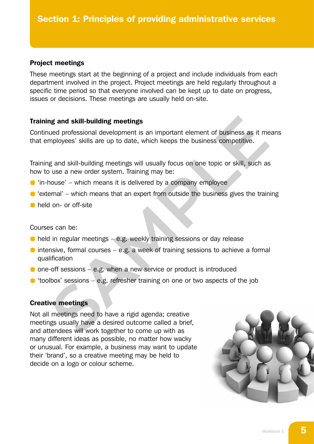#### Project meetings

These meetings start at the beginning of a project and include individuals from each department involved in the project. Project meetings are held regularly throughout a specific time period so that everyone involved can be kept up to date on progress, issues or decisions. These meetings are usually held on-site.

#### Training and skill-building meetings

Continued professional development is an important element of business as it means that employees' skills are up to date, which keeps the business competitive.

Training and skill-building meetings will usually focus on one topic or skill, such as how to use a new order system. Training may be:

- $\bullet$  'in-house' which means it is delivered by a company employee
- $\bullet$  'external' which means that an expert from outside the business gives the training
- **held on- or off-site**

#### Courses can be:

- $\bullet$  held in regular meetings e.g. weekly training sessions or day release
- $\bullet$  intensive, formal courses e.g. a week of training sessions to achieve a formal qualification
- $\bullet$  one-off sessions e.g. when a new service or product is introduced
- $\bullet$  'toolbox' sessions e.g. refresher training on one or two aspects of the job

#### Creative meetings

Not all meetings need to have a rigid agenda; creative meetings usually have a desired outcome called a brief, and attendees will work together to come up with as many different ideas as possible, no matter how wacky or unusual. For example, a business may want to update their 'brand', so a creative meeting may be held to decide on a logo or colour scheme. **ng and skill-building meetings**<br>
ued professional development is an important element of business as it me<br>
mployees' skills are up to date, which keeps the business competitive.<br> **SAMPLE ANT SAMPLE SAMPLE TRANCE SONG THE** 

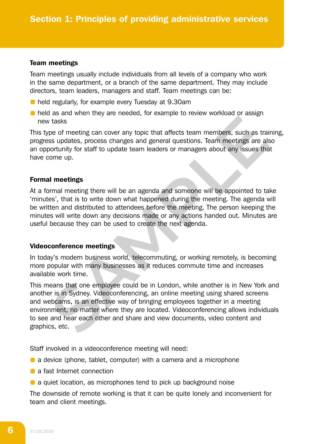#### Team meetings

Team meetings usually include individuals from all levels of a company who work in the same department, or a branch of the same department. They may include directors, team leaders, managers and staff. Team meetings can be:

- held regularly, for example every Tuesday at 9.30am
- **•** held as and when they are needed, for example to review workload or assign new tasks

This type of meeting can cover any topic that affects team members, such as training, progress updates, process changes and general questions. Team meetings are also an opportunity for staff to update team leaders or managers about any issues that have come up.

#### Formal meetings

At a formal meeting there will be an agenda and someone will be appointed to take 'minutes', that is to write down what happened during the meeting. The agenda will be written and distributed to attendees before the meeting. The person keeping the minutes will write down any decisions made or any actions handed out. Minutes are useful because they can be used to create the next agenda.

#### Videoconference meetings

In today's modern business world, telecommuting, or working remotely, is becoming more popular with many businesses as it reduces commute time and increases available work time.

This means that one employee could be in London, while another is in New York and another is in Sydney. Videoconferencing, an online meeting using shared screens and webcams, is an effective way of bringing employees together in a meeting environment, no matter where they are located. Videoconferencing allows individuals to see and hear each other and share and view documents, video content and graphics, etc. It assumed that the expectation of the experimentation and the experimentation of the sample to statistic tasks<br>
specifies, process changes and general questions. Team meetings are also<br>
solventiny for staff to update team

Staff involved in a videoconference meeting will need:

- **a** a device (phone, tablet, computer) with a camera and a microphone
- **a** fast Internet connection
- **a** a quiet location, as microphones tend to pick up background noise

The downside of remote working is that it can be quite lonely and inconvenient for team and client meetings.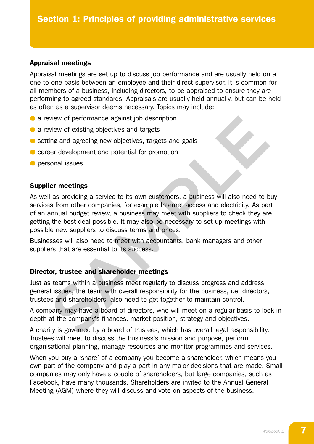#### Appraisal meetings

Appraisal meetings are set up to discuss job performance and are usually held on a one-to-one basis between an employee and their direct supervisor. It is common for all members of a business, including directors, to be appraised to ensure they are performing to agreed standards. Appraisals are usually held annually, but can be held as often as a supervisor deems necessary. Topics may include:

- a review of performance against job description
- a review of existing objectives and targets
- setting and agreeing new objectives, targets and goals
- **C** career development and potential for promotion
- **O** personal issues

#### Supplier meetings

As well as providing a service to its own customers, a business will also need to buy services from other companies, for example Internet access and electricity. As part of an annual budget review, a business may meet with suppliers to check they are getting the best deal possible. It may also be necessary to set up meetings with possible new suppliers to discuss terms and prices. view of performance against job description<br>view of existing objectives and targets<br>ing and agreeing new objectives, targets and goals<br>ser development and potential for promotion<br>conal issues<br>are revelopment and potential

Businesses will also need to meet with accountants, bank managers and other suppliers that are essential to its success.

### Director, trustee and shareholder meetings

Just as teams within a business meet regularly to discuss progress and address general issues, the team with overall responsibility for the business, i.e. directors, trustees and shareholders, also need to get together to maintain control.

A company may have a board of directors, who will meet on a regular basis to look in depth at the company's finances, market position, strategy and objectives.

A charity is governed by a board of trustees, which has overall legal responsibility. Trustees will meet to discuss the business's mission and purpose, perform organisational planning, manage resources and monitor programmes and services.

When you buy a 'share' of a company you become a shareholder, which means you own part of the company and play a part in any major decisions that are made. Small companies may only have a couple of shareholders, but large companies, such as Facebook, have many thousands. Shareholders are invited to the Annual General Meeting (AGM) where they will discuss and vote on aspects of the business.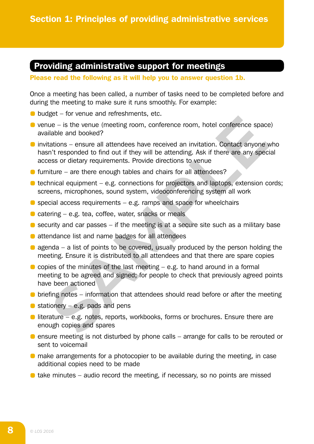# Providing administrative support for meetings

Please read the following as it will help you to answer question 1b.

Once a meeting has been called, a number of tasks need to be completed before and during the meeting to make sure it runs smoothly. For example:

- **budget** for venue and refreshments, etc.
- $\bullet$  venue is the venue (meeting room, conference room, hotel conference space) available and booked?
- invitations ensure all attendees have received an invitation. Contact anyone who hasn't responded to find out if they will be attending. Ask if there are any special access or dietary requirements. Provide directions to venue given in the mean transformation of the mean transformation of the mean transformation of the mean transformation and booked?<br>
Hen is the venue (meeting room, conference form, hotel conference space lable and booked?<br>
Also
- $\bullet$  furniture are there enough tables and chairs for all attendees?
- $\bullet$  technical equipment e.g. connections for projectors and laptops, extension cords; screens, microphones, sound system, videoconferencing system all work
- $\bullet$  special access requirements e.g. ramps and space for wheelchairs
- $\bullet$  catering e.g. tea, coffee, water, snacks or meals
- $\bullet$  security and car passes if the meeting is at a secure site such as a military base
- **a** attendance list and name badges for all attendees
- $\bullet$  agenda a list of points to be covered, usually produced by the person holding the meeting. Ensure it is distributed to all attendees and that there are spare copies
- $\bullet$  copies of the minutes of the last meeting e.g. to hand around in a formal meeting to be agreed and signed; for people to check that previously agreed points have been actioned
- $\bullet$  briefing notes information that attendees should read before or after the meeting
- $\bullet$  stationery e.g. pads and pens
- literature e.g. notes, reports, workbooks, forms or brochures. Ensure there are enough copies and spares
- $\bullet$  ensure meeting is not disturbed by phone calls arrange for calls to be rerouted or sent to voicemail
- make arrangements for a photocopier to be available during the meeting, in case additional copies need to be made
- $\bullet$  take minutes audio record the meeting, if necessary, so no points are missed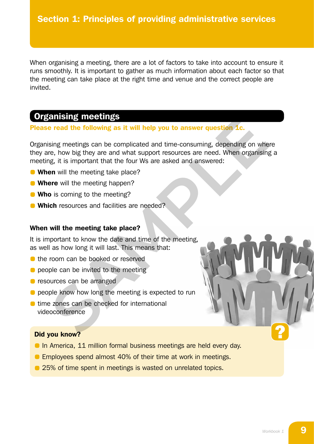When organising a meeting, there are a lot of factors to take into account to ensure it runs smoothly. It is important to gather as much information about each factor so that the meeting can take place at the right time and venue and the correct people are invited.

# Organising meetings

#### Please read the following as it will help you to answer question 1c.

Organising meetings can be complicated and time-consuming, depending on where they are, how big they are and what support resources are need. When organising a meeting, it is important that the four Ws are asked and answered: **ENTERT AND SET AND SET AND SET AND SET AND SET AND NON SET AND NON-ROBOTT AND SOLUTION SET AND NON-ROBOTT SET AND SET AND SET AND SET AND SET AND SET AND SET AND SET AND INTERTATION IS (SET AND SET AND SET AND SET AND INT** 

- **When** will the meeting take place?
- **Where** will the meeting happen?
- **Who** is coming to the meeting?
- **Which** resources and facilities are needed?

#### When will the meeting take place?

It is important to know the date and time of the meeting, as well as how long it will last. This means that:

- the room can be booked or reserved
- $\bullet$  people can be invited to the meeting
- **P** resources can be arranged
- **O** people know how long the meeting is expected to run
- $\bullet$  time zones can be checked for international videoconference

#### Did you know?

- **In America, 11 million formal business meetings are held every day.**
- **Employees spend almost 40% of their time at work in meetings.**
- **25% of time spent in meetings is wasted on unrelated topics.**